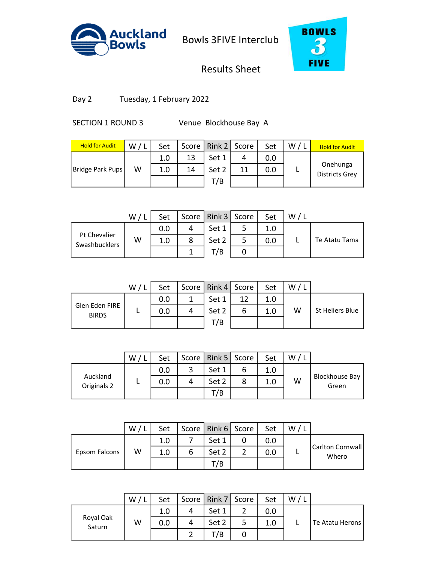



# Results Sheet

Day 2 Tuesday, 1 February 2022

SECTION 1 ROUND 3 Venue Blockhouse Bay A

| <b>Hold for Audit</b> | W/L | Set |    | Score   Rink 2   Score |    | Set | W/L | <b>Hold for Audit</b>             |
|-----------------------|-----|-----|----|------------------------|----|-----|-----|-----------------------------------|
|                       |     | 1.0 | 13 | Set 1                  | 4  | 0.0 |     |                                   |
| Bridge Park Pups      | W   | 1.0 | 14 | Set 2                  | 11 | 0.0 |     | Onehunga<br><b>Districts Grey</b> |
|                       |     |     |    | T/B                    |    |     |     |                                   |
|                       |     |     |    |                        |    |     |     |                                   |

|                               | W / L | Set |   | Score   Rink 3   Score | Set | W |               |
|-------------------------------|-------|-----|---|------------------------|-----|---|---------------|
|                               |       | 0.0 | 4 | Set 1                  |     |   |               |
| Pt Chevalier<br>Swashbucklers | W     | 1.0 | 8 | Set 2                  | 0.0 |   | Te Atatu Tama |
|                               |       |     |   | T/B                    |     |   |               |

|                                | W / | Set |   | Score   Rink 4   Score |    | Set | W |                 |
|--------------------------------|-----|-----|---|------------------------|----|-----|---|-----------------|
|                                |     | 0.0 |   | Set 1                  | 12 | 1.0 |   |                 |
| Glen Eden FIRE<br><b>BIRDS</b> |     | 0.0 | 4 | Set 2                  | ь  | 1.0 | W | St Heliers Blue |
|                                |     |     |   | T/B                    |    |     |   |                 |
|                                |     |     |   |                        |    |     |   |                 |

|                         | W | Set |   | Score   Rink 5   Score | Set | W |                                |
|-------------------------|---|-----|---|------------------------|-----|---|--------------------------------|
|                         |   | 0.0 |   | Set 1                  | 1.0 |   |                                |
| Auckland<br>Originals 2 |   | 0.0 | 4 | Set 2                  | 1.0 | W | <b>Blockhouse Bay</b><br>Green |
|                         |   |     |   | T/B                    |     |   |                                |

|               | W/ | Set |   | Score   Rink 6   Score | Set | W |                           |
|---------------|----|-----|---|------------------------|-----|---|---------------------------|
|               |    | 1.0 |   | Set 1                  | 0.0 |   |                           |
| Epsom Falcons | W  | 1.0 | 6 | Set 2                  | 0.0 |   | Carlton Cornwall<br>Whero |
|               |    |     |   | T/B                    |     |   |                           |
|               |    |     |   |                        |     |   |                           |

|                     | W | Set |   | Score   Rink 7   Score | Set | W |                 |
|---------------------|---|-----|---|------------------------|-----|---|-----------------|
|                     |   | 1.0 | 4 | Set 1                  | 0.0 |   |                 |
| Royal Oak<br>Saturn | W | 0.0 | 4 | Set 2                  | 1.0 |   | Te Atatu Herons |
|                     |   |     |   | T/B                    |     |   |                 |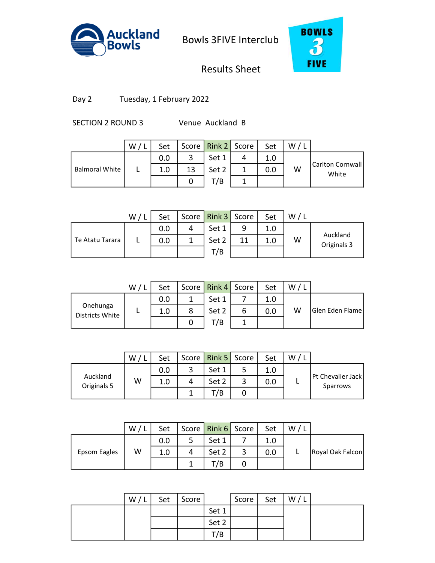



# Results Sheet

Day 2 Tuesday, 1 February 2022

SECTION 2 ROUND 3 Venue Auckland B

|                       | W/1 | Set |    | Score   Rink 2   Score |   | Set | W |                           |
|-----------------------|-----|-----|----|------------------------|---|-----|---|---------------------------|
|                       |     | 0.0 | ર  | Set 1                  | 4 | 1.0 |   |                           |
| <b>Balmoral White</b> |     | 1.0 | 13 | Set 2                  |   | 0.0 | W | Carlton Cornwall<br>White |
|                       |     |     |    | T/B                    |   |     |   |                           |
|                       |     |     |    |                        |   |     |   |                           |

|                 | W/l | Set | Score   Rink 3   Score |   | Set | W/L |                         |
|-----------------|-----|-----|------------------------|---|-----|-----|-------------------------|
|                 |     | 0.0 | Set 1                  | q | 1.0 |     |                         |
| Te Atatu Tarara |     | 0.0 | Set 2                  |   | 1.0 | W   | Auckland<br>Originals 3 |
|                 |     |     | T/B                    |   |     |     |                         |

|                             | W/1 | Set |   | Score   Rink 4   Score |   | Set | W, |                 |
|-----------------------------|-----|-----|---|------------------------|---|-----|----|-----------------|
|                             |     | 0.0 |   | Set 1                  |   | 1.0 |    |                 |
| Onehunga<br>Districts White |     | 1.0 | 8 | Set 2                  | 6 | 0.0 | w  | Glen Eden Flame |
|                             |     |     |   | T/B                    |   |     |    |                 |
|                             |     |     |   |                        |   |     |    |                 |

|                         | W | Set |   | Score   Rink 5   Score | Set | W |                                 |
|-------------------------|---|-----|---|------------------------|-----|---|---------------------------------|
|                         |   | 0.0 |   | Set 1                  | 1.0 |   |                                 |
| Auckland<br>Originals 5 | W | 1.0 | 4 | Set 2                  | 0.0 |   | Pt Chevalier Jack  <br>Sparrows |
|                         |   |     |   | T/B                    |     |   |                                 |

|              | W/L | Set |   | Score   Rink 6   Score |   | Set | W/L |                  |
|--------------|-----|-----|---|------------------------|---|-----|-----|------------------|
|              |     | 0.0 |   | Set 1                  |   | 1.0 |     |                  |
| Epsom Eagles | W   | 1.0 | 4 | Set 2                  |   | 0.0 |     | Royal Oak Falcon |
|              |     |     |   | T/B                    | U |     |     |                  |
|              |     |     |   |                        |   |     |     |                  |

| W/L | Set | Score |       | Score | Set | W / I |  |
|-----|-----|-------|-------|-------|-----|-------|--|
|     |     |       | Set 1 |       |     |       |  |
|     |     |       | Set 2 |       |     |       |  |
|     |     |       | T/B   |       |     |       |  |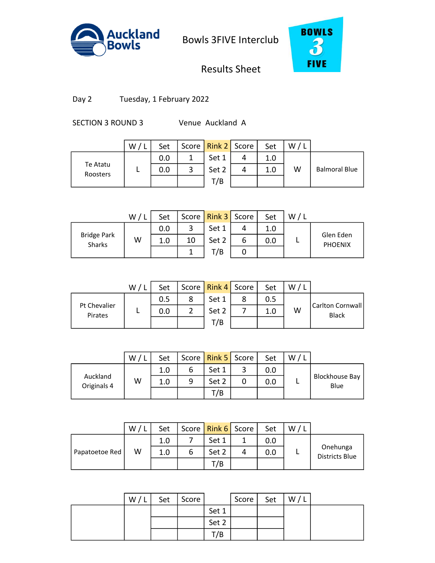



# Results Sheet

Day 2 Tuesday, 1 February 2022

SECTION 3 ROUND 3 Venue Auckland A

|                      | W / L | Set |   | Score   Rink 2   Score |   | Set | W/I |                      |
|----------------------|-------|-----|---|------------------------|---|-----|-----|----------------------|
|                      |       | 0.0 |   | Set 1                  | 4 | 1.0 |     |                      |
| Te Atatu<br>Roosters |       | 0.0 | 3 | Set 2                  | 4 | 1.0 | W   | <b>Balmoral Blue</b> |
|                      |       |     |   | T/B                    |   |     |     |                      |
|                      |       |     |   |                        |   |     |     |                      |

|                                     | W/I | Set |    | Score   Rink 3   Score |   | Set | W/L |                             |
|-------------------------------------|-----|-----|----|------------------------|---|-----|-----|-----------------------------|
|                                     |     | 0.0 |    | Set 1                  |   | 1.0 |     |                             |
| <b>Bridge Park</b><br><b>Sharks</b> | W   | 1.0 | 10 | Set 2                  | O | 0.0 |     | Glen Eden<br><b>PHOENIX</b> |
|                                     |     |     |    | T/B                    | U |     |     |                             |

|                         | W/1 | Set |   | Score   Rink 4   Score |   | Set     | W |                                   |
|-------------------------|-----|-----|---|------------------------|---|---------|---|-----------------------------------|
|                         |     | 0.5 | 8 | Set 1                  | 8 | 0.5     |   |                                   |
| Pt Chevalier<br>Pirates |     | 0.0 | າ | Set 2                  |   | $1.0\,$ | W | Carlton Cornwall <br><b>Black</b> |
|                         |     |     |   | T/B                    |   |         |   |                                   |
|                         |     |     |   |                        |   |         |   |                                   |

|                         | W | Set |   | Score   Rink 5   Score | Set | W |                               |
|-------------------------|---|-----|---|------------------------|-----|---|-------------------------------|
|                         |   | 1.0 | b | Set 1                  | 0.0 |   |                               |
| Auckland<br>Originals 4 | W | 1.0 | 9 | Set 2                  | 0.0 |   | <b>Blockhouse Bay</b><br>Blue |
|                         |   |     |   | T/B                    |     |   |                               |

|                | $W/$ ' | Set |   | Score   Rink 6   Score |   | Set | W/L |                                   |
|----------------|--------|-----|---|------------------------|---|-----|-----|-----------------------------------|
|                |        | 1.0 |   | Set 1                  |   | 0.0 |     |                                   |
| Papatoetoe Red | W      | 1.0 | 6 | Set 2                  | 4 | 0.0 |     | Onehunga<br><b>Districts Blue</b> |
|                |        |     |   | T/B                    |   |     |     |                                   |
|                |        |     |   |                        |   |     |     |                                   |

| W/L | Set | Score |       | Score | Set | W/1 |  |
|-----|-----|-------|-------|-------|-----|-----|--|
|     |     |       | Set 1 |       |     |     |  |
|     |     |       | Set 2 |       |     |     |  |
|     |     |       | T/B   |       |     |     |  |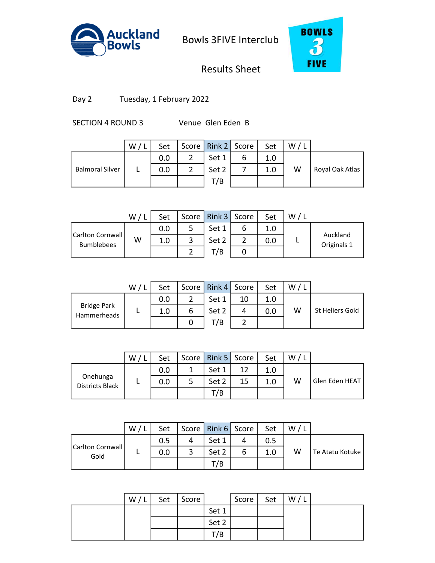



# Results Sheet

Day 2 Tuesday, 1 February 2022

SECTION 4 ROUND 3 Venue Glen Eden B

|                        | W/L | Set | Score   Rink 2   Score |   | Set | W/L |                 |
|------------------------|-----|-----|------------------------|---|-----|-----|-----------------|
|                        |     | 0.0 | Set 1                  | ь | 1.0 |     |                 |
| <b>Balmoral Silver</b> |     | 0.0 | Set 2                  |   | 1.0 | W   | Royal Oak Atlas |
|                        |     |     | T/B                    |   |     |     |                 |
|                        |     |     |                        |   |     |     |                 |

|                                       | W / | Set | Score   Rink 3   Score | Set | W |                         |
|---------------------------------------|-----|-----|------------------------|-----|---|-------------------------|
|                                       |     | 0.0 | Set 1                  | 1.0 |   |                         |
| Carlton Cornwall<br><b>Bumblebees</b> | W   | 1.0 | Set 2                  | 0.0 |   | Auckland<br>Originals 1 |
|                                       |     |     | T/B                    |     |   |                         |

|                                   | W/1 | Set |   | Score   Rink 4   Score |    | Set | W. |                 |
|-----------------------------------|-----|-----|---|------------------------|----|-----|----|-----------------|
|                                   |     | 0.0 |   | Set 1                  | 10 | 1.0 |    |                 |
| <b>Bridge Park</b><br>Hammerheads |     | 1.0 | 6 | Set 2                  | 4  | 0.0 | W  | St Heliers Gold |
|                                   |     |     |   | T/B                    |    |     |    |                 |
|                                   |     |     |   |                        |    |     |    |                 |

|                             | W | Set | Score   Rink 5   Score |    | Set | W |                |
|-----------------------------|---|-----|------------------------|----|-----|---|----------------|
| Onehunga<br>Districts Black |   | 0.0 | Set 1                  |    |     |   |                |
|                             |   | 0.0 | Set 2                  | 15 | 1.0 | w | Glen Eden HEAT |
|                             |   |     | T/B                    |    |     |   |                |

|                          | W/ | Set |   | Score   Rink 6   Score |   | Set | W |                 |
|--------------------------|----|-----|---|------------------------|---|-----|---|-----------------|
| Carlton Cornwall<br>Gold |    | 0.5 |   | Set 1                  |   | 0.5 |   |                 |
|                          |    | 0.0 | 3 | Set 2                  | o | 1.0 | w | Te Atatu Kotuke |
|                          |    |     |   | T/B                    |   |     |   |                 |
|                          |    |     |   |                        |   |     |   |                 |

| W/L | Set | Score |       | Score | Set | W/L |  |
|-----|-----|-------|-------|-------|-----|-----|--|
|     |     |       | Set 1 |       |     |     |  |
|     |     |       | Set 2 |       |     |     |  |
|     |     |       | T/B   |       |     |     |  |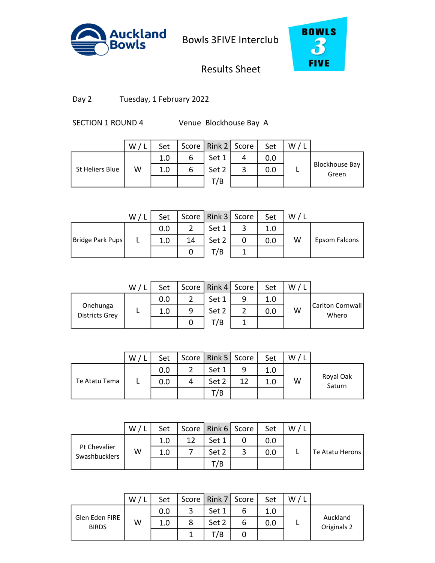



# Results Sheet

Day 2 Tuesday, 1 February 2022

SECTION 1 ROUND 4 Venue Blockhouse Bay A

|                 | W / I | Set |   | Score   Rink 2   Score | Set | W |                                |
|-----------------|-------|-----|---|------------------------|-----|---|--------------------------------|
|                 |       | 1.0 | 6 | Set 1                  | 0.0 |   |                                |
| St Heliers Blue | W     | 1.0 | 6 | Set 2                  | 0.0 |   | <b>Blockhouse Bay</b><br>Green |
|                 |       |     |   | T/B                    |     |   |                                |
|                 |       |     |   |                        |     |   |                                |

|                  | W / I | Set |    | Score   Rink 3   Score |   | Set | W |               |
|------------------|-------|-----|----|------------------------|---|-----|---|---------------|
|                  |       | 0.0 |    | Set 1                  | ັ | 1.0 |   |               |
| Bridge Park Pups |       | 1.0 | 14 | Set 2                  |   | 0.0 | W | Epsom Falcons |
|                  |       |     |    | T/B                    |   |     |   |               |

|                                   | W/ | Set |   | Score   Rink 4   Score |   | Set | W |                            |
|-----------------------------------|----|-----|---|------------------------|---|-----|---|----------------------------|
|                                   |    | 0.0 | າ | Set 1                  | 9 | 1.0 |   |                            |
| Onehunga<br><b>Districts Grey</b> |    | 1.0 | 9 | Set 2                  |   | 0.0 | W | Carlton Cornwall <br>Whero |
|                                   |    |     |   | T/B                    |   |     |   |                            |
|                                   |    |     |   |                        |   |     |   |                            |

|               | W | Set |   | Score   Rink 5   Score |    | Set | W |                     |
|---------------|---|-----|---|------------------------|----|-----|---|---------------------|
|               |   | 0.0 |   | Set 1                  | q  | 1.0 |   |                     |
| Te Atatu Tama |   | 0.0 | 4 | Set 2                  | 12 |     | W | Royal Oak<br>Saturn |
|               |   |     |   | T/B                    |    |     |   |                     |

|                               | W/1 | Set |    | Score   Rink 6   Score | Set | W |                 |
|-------------------------------|-----|-----|----|------------------------|-----|---|-----------------|
| Pt Chevalier<br>Swashbucklers |     | 1.0 | 12 | Set 1                  | 0.0 |   |                 |
|                               | W   | 1.0 |    | Set 2                  | 0.0 |   | Te Atatu Herons |
|                               |     |     |    | T/B                    |     |   |                 |
|                               |     |     |    |                        |     |   |                 |

|                                | W | Set |   | Score   Rink 7   Score |   | Set | W |                         |
|--------------------------------|---|-----|---|------------------------|---|-----|---|-------------------------|
|                                |   | 0.0 | 2 | Set 1                  | o | 1.0 |   |                         |
| Glen Eden FIRE<br><b>BIRDS</b> | W | 1.0 | 8 | Set 2                  |   | 0.0 | − | Auckland<br>Originals 2 |
|                                |   |     |   | T/B                    | U |     |   |                         |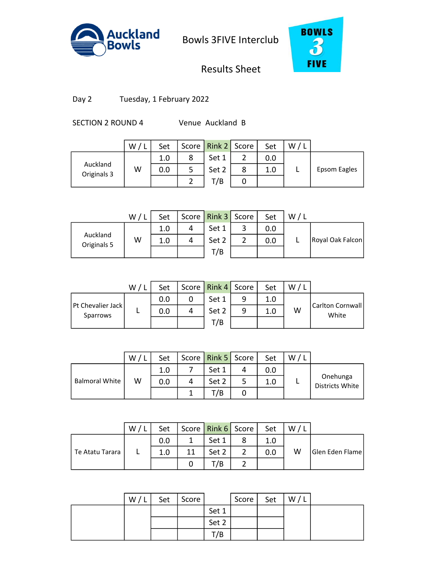



# Results Sheet

Day 2 Tuesday, 1 February 2022

SECTION 2 ROUND 4 Venue Auckland B

|                         | W/L | Set |   | Score   Rink 2   Score |   | Set | W |              |
|-------------------------|-----|-----|---|------------------------|---|-----|---|--------------|
|                         |     | 1.0 | 8 | Set 1                  |   | 0.0 |   |              |
| Auckland<br>Originals 3 | W   | 0.0 | 5 | Set 2                  | 8 | 1.0 |   | Epsom Eagles |
|                         |     |     |   | T/B                    |   |     |   |              |
|                         |     |     |   |                        |   |     |   |              |

|                         | W / I | Set |   | Score   Rink 3   Score |   | Set | W |                  |
|-------------------------|-------|-----|---|------------------------|---|-----|---|------------------|
|                         |       | 1.0 | 4 | Set 1                  | ٮ | 0.0 |   |                  |
| Auckland<br>Originals 5 | W     | 1.0 | 4 | Set 2                  |   | 0.0 |   | Royal Oak Falcon |
|                         |       |     |   | T/B                    |   |     |   |                  |

|                                 | W/1 | Set |   | Score   Rink 4   Score |   | Set     | W. |                           |
|---------------------------------|-----|-----|---|------------------------|---|---------|----|---------------------------|
|                                 |     | 0.0 |   | Set 1                  | 9 | 1.0     |    |                           |
| Pt Chevalier Jack  <br>Sparrows |     | 0.0 | 4 | Set 2                  | 9 | $1.0\,$ | W  | Carlton Cornwall<br>White |
|                                 |     |     |   | T/B                    |   |         |    |                           |
|                                 |     |     |   |                        |   |         |    |                           |

|                       | W | Set |   | Score   Rink 5   Score | Set | W |                             |
|-----------------------|---|-----|---|------------------------|-----|---|-----------------------------|
|                       |   | 1.0 |   | Set 1                  | 0.0 |   |                             |
| <b>Balmoral White</b> | W | 0.0 | 4 | Set 2                  | 1.0 |   | Onehunga<br>Districts White |
|                       |   |     |   | T/B                    |     |   |                             |

|                 | W/ | Set |    | Score   Rink 6   Score | Set | W |                 |
|-----------------|----|-----|----|------------------------|-----|---|-----------------|
|                 |    | 0.0 |    | Set 1                  | 1.0 |   |                 |
| Te Atatu Tarara |    | 1.0 | 11 | Set 2                  | 0.0 | W | Glen Eden Flame |
|                 |    |     |    | T/B                    |     |   |                 |
|                 |    |     |    |                        |     |   |                 |

| W/L | Set | Score |       | Score | Set | W/L |  |
|-----|-----|-------|-------|-------|-----|-----|--|
|     |     |       | Set 1 |       |     |     |  |
|     |     |       | Set 2 |       |     |     |  |
|     |     |       | T/B   |       |     |     |  |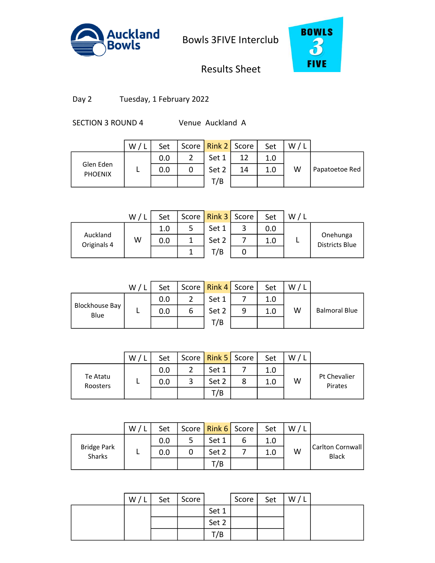



# Results Sheet

Day 2 Tuesday, 1 February 2022

SECTION 3 ROUND 4 Venue Auckland A

|                             | W/L | Set |   | Score   Rink 2   Score |    | Set | W/1 |                |
|-----------------------------|-----|-----|---|------------------------|----|-----|-----|----------------|
|                             |     | 0.0 |   | Set 1                  | 12 | 1.0 |     |                |
| Glen Eden<br><b>PHOENIX</b> |     | 0.0 | 0 | Set 2                  | 14 | 1.0 | W   | Papatoetoe Red |
|                             |     |     |   | T/B                    |    |     |     |                |
|                             |     |     |   |                        |    |     |     |                |

|                         | W/ | Set | Score   Rink 3   Score |   | Set | W |                            |
|-------------------------|----|-----|------------------------|---|-----|---|----------------------------|
|                         |    | 1.0 | Set 1                  | ر | 0.0 |   |                            |
| Auckland<br>Originals 4 | W  | 0.0 | Set 2                  |   | 1.0 |   | Onehunga<br>Districts Blue |
|                         |    |     | T/B                    |   |     |   |                            |

|                               | W / L | Set |   | Score   Rink 4   Score |   | Set | W. |                      |
|-------------------------------|-------|-----|---|------------------------|---|-----|----|----------------------|
|                               |       | 0.0 |   | Set 1                  |   | 1.0 |    |                      |
| <b>Blockhouse Bay</b><br>Blue |       | 0.0 | 6 | Set 2                  | 9 | 1.0 | W  | <b>Balmoral Blue</b> |
|                               |       |     |   | T/B                    |   |     |    |                      |
|                               |       |     |   |                        |   |     |    |                      |

|                      | W | Set |   | Score   Rink 5   Score | Set | W |                         |
|----------------------|---|-----|---|------------------------|-----|---|-------------------------|
|                      |   | 0.0 | ◠ | Set 1                  |     |   |                         |
| Te Atatu<br>Roosters |   | 0.0 |   | Set 2                  |     | W | Pt Chevalier<br>Pirates |
|                      |   |     |   | T/B                    |     |   |                         |

|                              | W/L | Set |   | Score   Rink 6   Score |   | Set | W |                                  |
|------------------------------|-----|-----|---|------------------------|---|-----|---|----------------------------------|
| <b>Bridge Park</b><br>Sharks |     | 0.0 |   | Set 1                  | ь | 1.0 |   |                                  |
|                              |     | 0.0 | 0 | Set 2                  |   | 1.0 | W | Carlton Cornwall<br><b>Black</b> |
|                              |     |     |   | T/B                    |   |     |   |                                  |
|                              |     |     |   |                        |   |     |   |                                  |

| W/L | Set | Score |       | Score | Set | W/L |  |
|-----|-----|-------|-------|-------|-----|-----|--|
|     |     |       | Set 1 |       |     |     |  |
|     |     |       | Set 2 |       |     |     |  |
|     |     |       | T/B   |       |     |     |  |